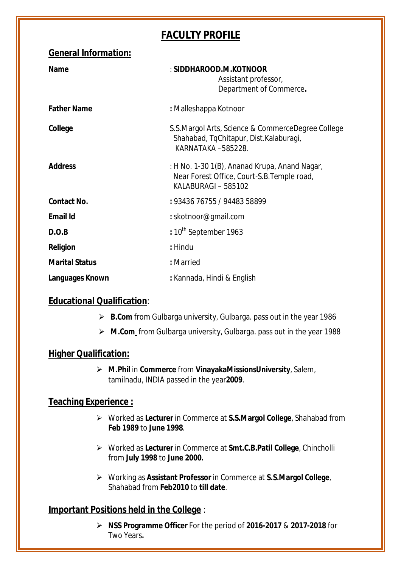# **FACULTY PROFILE**

| <b>General Information:</b> |                                                                                                                     |
|-----------------------------|---------------------------------------------------------------------------------------------------------------------|
| <b>Name</b>                 | : SIDDHAROOD.M.KOTNOOR<br>Assistant professor,<br>Department of Commerce.                                           |
| <b>Father Name</b>          | : Malleshappa Kotnoor                                                                                               |
| College                     | S.S. Margol Arts, Science & Commerce Degree College<br>Shahabad, TqChitapur, Dist.Kalaburagi,<br>KARNATAKA -585228. |
| <b>Address</b>              | : H No. 1-30 1(B), Ananad Krupa, Anand Nagar,<br>Near Forest Office, Court-S.B. Temple road,<br>KALABURAGI - 585102 |
| <b>Contact No.</b>          | : 93436 76755 / 94483 58899                                                                                         |
| <b>Email Id</b>             | : skotnoor@gmail.com                                                                                                |
| D.O.B                       | : 10 <sup>th</sup> September 1963                                                                                   |
| <b>Religion</b>             | : Hindu                                                                                                             |
| <b>Marital Status</b>       | : Married                                                                                                           |
| Languages Known             | : Kannada, Hindi & English                                                                                          |

## **Educational Qualification**:

- **B.Com** from Gulbarga university, Gulbarga. pass out in the year 1986
- **M.Com** from Gulbarga university, Gulbarga. pass out in the year 1988

### **Higher Qualification:**

 **M.Phil** in **Commerce** from **VinayakaMissionsUniversity**, Salem, tamilnadu, INDIA passed in the year**2009**.

### **Teaching Experience :**

- Worked as **Lecturer** in Commerce at **S.S.Margol College**, Shahabad from **Feb 1989** to **June 1998**.
- Worked as **Lecturer** in Commerce at **Smt.C.B.Patil College**, Chincholli from **July 1998** to **June 2000.**
- Working as **Assistant Professor** in Commerce at **S.S.Margol College**, Shahabad from **Feb2010** to **till date**.

### **Important Positions held in the College** :

 **NSS Programme Officer** For the period of **2016-2017** & **2017-2018** for Two Years**.**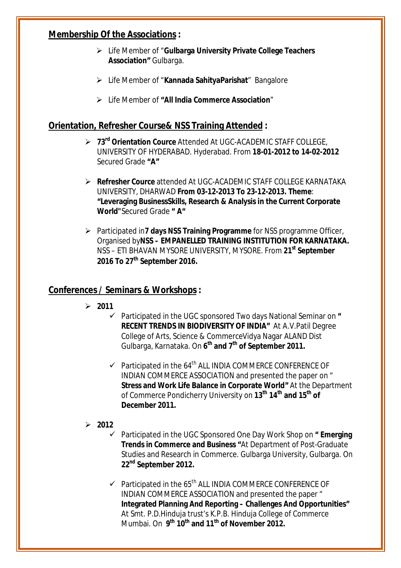### **Membership Of the Associations :**

- Life Member of "**Gulbarga University Private College Teachers Association"** Gulbarga.
- Life Member of "**Kannada SahityaParishat**" Bangalore
- Life Member of **"All India Commerce Association**"

### **Orientation, Refresher Course& NSS Training Attended :**

- **73rd Orientation Cource** Attended At UGC-ACADEMIC STAFF COLLEGE, UNIVERSITY OF HYDERABAD. Hyderabad. From **18-01-2012 to 14-02-2012** Secured Grade **"A"**
- **Refresher Cource** attended At UGC-ACADEMIC STAFF COLLEGE KARNATAKA UNIVERSITY, DHARWAD **From 03-12-2013 To 23-12-2013. Theme**: **"Leveraging BusinessSkills, Research & Analysis in the Current Corporate World"**Secured Grade **" A"**
- Participated in**7 days NSS Training Programme** for NSS programme Officer, Organised by**NSS – EMPANELLED TRAINING INSTITUTION FOR KARNATAKA.**  NSS – ETI BHAVAN MYSORE UNIVERSITY, MYSORE. From **21st September 2016 To 27th September 2016.**

### **Conferences / Seminars & Workshops :**

- **2011**
	- Participated in the UGC sponsored Two days National Seminar on **" RECENT TRENDS IN BIODIVERSITY OF INDIA"** At A.V.Patil Degree College of Arts, Science & CommerceVidya Nagar ALAND Dist Gulbarga, Karnataka. On **6 th and 7th of September 2011.**
	- $\checkmark$  Participated in the 64<sup>th</sup> ALL INDIA COMMERCE CONFERENCE OF INDIAN COMMERCE ASSOCIATION and presented the paper on " **Stress and Work Life Balance in Corporate World"** At the Department of Commerce Pondicherry University on **13th 14th and 15th of December 2011.**

#### **2012**

- Participated in the UGC Sponsored One Day Work Shop on **" Emerging Trends in Commerce and Business "**At Department of Post-Graduate Studies and Research in Commerce. Gulbarga University, Gulbarga. On **22nd September 2012.**
- $\checkmark$  Participated in the 65<sup>th</sup> ALL INDIA COMMERCE CONFERENCE OF INDIAN COMMERCE ASSOCIATION and presented the paper " **Integrated Planning And Reporting – Challenges And Opportunities"**  At Smt. P.D.Hinduja trust's K.P.B. Hinduja College of Commerce Mumbai. On **9 th 10th and 11th of November 2012.**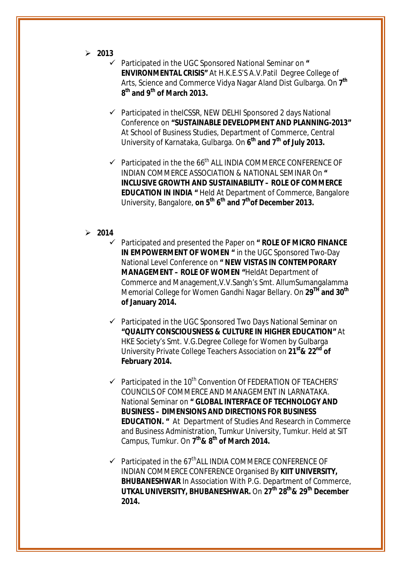- **2013**
	- Participated in the UGC Sponsored National Seminar on **" ENVIRONMENTAL CRISIS"** At H.K.E.S'S A.V.Patil Degree College of Arts, Science and Commerce Vidya Nagar Aland Dist Gulbarga. On **7 th 8 th and 9th of March 2013.**
	- $\checkmark$  Participated in theICSSR, NEW DELHI Sponsored 2 days National Conference on **"SUSTAINABLE DEVELOPMENT AND PLANNING-2013"** At School of Business Studies, Department of Commerce, Central University of Karnataka, Gulbarga. On **6 th and 7th of July 2013.**
	- $\checkmark$  Participated in the the 66<sup>th</sup> ALL INDIA COMMERCE CONFERENCE OF INDIAN COMMERCE ASSOCIATION & NATIONAL SEMINAR On **" INCLUSIVE GROWTH AND SUSTAINABILITY – ROLE OF COMMERCE EDUCATION IN INDIA "** Held At Department of Commerce, Bangalore University, Bangalore, **on 5th 6 th and 7thof December 2013.**

#### **2014**

- Participated and presented the Paper on **" ROLE OF MICRO FINANCE IN EMPOWERMENT OF WOMEN "** in the UGC Sponsored Two-Day National Level Conference on **" NEW VISTAS IN CONTEMPORARY MANAGEMENT – ROLE OF WOMEN "**HeldAt Department of Commerce and Management,V.V.Sangh's Smt. AllumSumangalamma Memorial College for Women Gandhi Nagar Bellary. On **29TH and 30th of January 2014.**
- $\checkmark$  Participated in the UGC Sponsored Two Days National Seminar on **"QUALITY CONSCIOUSNESS & CULTURE IN HIGHER EDUCATION"** At HKE Society's Smt. V.G.Degree College for Women by Gulbarga University Private College Teachers Association on **21st& 22nd of February 2014.**
- $\checkmark$  Participated in the 10<sup>th</sup> Convention Of FEDERATION OF TEACHERS' COUNCILS OF COMMERCE AND MANAGEMENT IN LARNATAKA. National Seminar on **" GLOBAL INTERFACE OF TECHNOLOGY AND BUSINESS – DIMENSIONS AND DIRECTIONS FOR BUSINESS EDUCATION. "** At Department of Studies And Research in Commerce and Business Administration, Tumkur University, Tumkur. Held at SIT Campus, Tumkur. On **7 th& 8 th of March 2014.**
- $\checkmark$  Participated in the 67<sup>th</sup> ALL INDIA COMMERCE CONFERENCE OF INDIAN COMMERCE CONFERENCE Organised By **KIIT UNIVERSITY, BHUBANESHWAR** In Association With P.G. Department of Commerce, **UTKAL UNIVERSITY, BHUBANESHWAR.** On **27th 28th& 29th December 2014.**